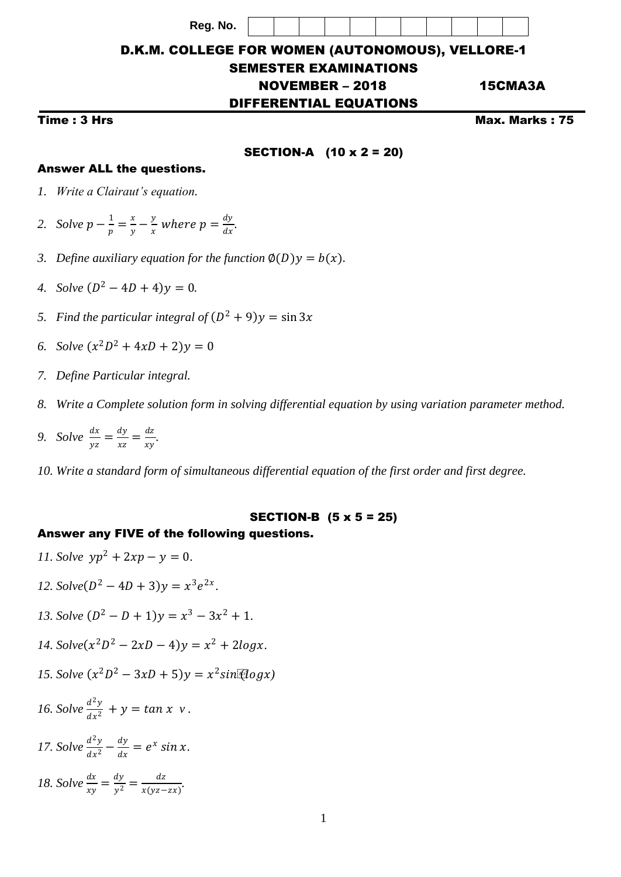**Reg. No.**

D.K.M. COLLEGE FOR WOMEN (AUTONOMOUS), VELLORE-1 SEMESTER EXAMINATIONS

# NOVEMBER – 2018 15CMA3A DIFFERENTIAL EQUATIONS

Time : 3 Hrs Max. Marks : 75

## SECTION-A (10 x 2 = 20)

## Answer ALL the questions.

- *1. Write a Clairaut's equation.*
- 2. *Solve*  $p \frac{1}{p}$  $\frac{1}{p} = \frac{x}{y}$  $\frac{x}{y} - \frac{y}{x}$  $\frac{y}{x}$  where  $p = \frac{dy}{dx}$  $\frac{dy}{dx}$ .
- *3. Define auxiliary equation for the function*  $\phi(D)y = b(x)$ *.*
- *4. Solve*  $(D^2 4D + 4)y = 0$ .
- 5. Find the particular integral of  $(D^2 + 9)y = \sin 3x$
- *6. Solve*  $(x^2D^2 + 4xD + 2)y = 0$
- *7. Define Particular integral.*
- *8. Write a Complete solution form in solving differential equation by using variation parameter method.*
- 9. *Solve*  $\frac{dx}{yz} = \frac{dy}{xz}$  $\frac{dy}{xz} = \frac{dz}{xy}$  $\frac{az}{xy}$ .
- *10. Write a standard form of simultaneous differential equation of the first order and first degree.*

## SECTION-B (5 x 5 = 25)

## Answer any FIVE of the following questions.

*11. Solve*  $yp^2 + 2xp - y = 0$ . *12.*  $Solve(D^2 - 4D + 3)y = x^3e^{2x}$ . *13. Solve*  $(D^2 - D + 1)y = x^3 - 3x^2 + 1$ .  $14. Solve(x^2D^2 - 2xD - 4)y = x^2 + 2logx.$ *15. Solve*  $(x^2D^2 - 3xD + 5)y = x^2 \sin(\theta g x)$ *16. Solve*  $\frac{d^2y}{dx^2}$  $\frac{d^2y}{dx^2} + y = \tan x \, v \, .$ *17. Solve*  $\frac{d^2y}{dx^2}$  $\frac{d^2y}{dx^2} - \frac{dy}{dx}$  $\frac{dy}{dx} = e^x \sin x.$ 18. *Solve*  $\frac{dx}{xy} = \frac{dy}{y^2}$  $\frac{dy}{y^2} = \frac{dz}{x(yz-1)}$  $\frac{uz}{x(yz-zx)}$ .